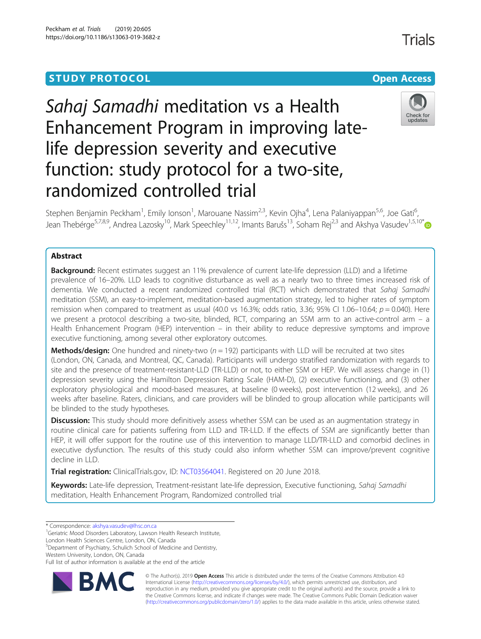## **STUDY PROTOCOL CONSUMING THE CONSUMING OPEN ACCESS**

# Sahaj Samadhi meditation vs a Health Enhancement Program in improving latelife depression severity and executive function: study protocol for a two-site, randomized controlled trial



Trials

Stephen Benjamin Peckham<sup>1</sup>, Emily Ionson<sup>1</sup>, Marouane Nassim<sup>2,3</sup>, Kevin Ojha<sup>4</sup>, Lena Palaniyappan<sup>5,6</sup>, Joe Gati<sup>6</sup> , Jean Thebérge<sup>5,7,8,9</sup>, Andrea Lazosky<sup>10</sup>, Mark Speechley<sup>11,12</sup>, Imants Barušs<sup>13</sup>, Soham Rej<sup>2,3</sup> and Akshya Vasudev<sup>1,5,10\*</sup>

## Abstract

**Background:** Recent estimates suggest an 11% prevalence of current late-life depression (LLD) and a lifetime prevalence of 16–20%. LLD leads to cognitive disturbance as well as a nearly two to three times increased risk of dementia. We conducted a recent randomized controlled trial (RCT) which demonstrated that Sahaj Samadhi meditation (SSM), an easy-to-implement, meditation-based augmentation strategy, led to higher rates of symptom remission when compared to treatment as usual (40.0 vs 16.3%; odds ratio, 3.36; 95% CI 1.06–10.64;  $p = 0.040$ ). Here we present a protocol describing a two-site, blinded, RCT, comparing an SSM arm to an active-control arm – a Health Enhancement Program (HEP) intervention – in their ability to reduce depressive symptoms and improve executive functioning, among several other exploratory outcomes.

**Methods/design:** One hundred and ninety-two  $(n = 192)$  participants with LLD will be recruited at two sites (London, ON, Canada, and Montreal, QC, Canada). Participants will undergo stratified randomization with regards to site and the presence of treatment-resistant-LLD (TR-LLD) or not, to either SSM or HEP. We will assess change in (1) depression severity using the Hamilton Depression Rating Scale (HAM-D), (2) executive functioning, and (3) other exploratory physiological and mood-based measures, at baseline (0 weeks), post intervention (12 weeks), and 26 weeks after baseline. Raters, clinicians, and care providers will be blinded to group allocation while participants will be blinded to the study hypotheses.

Discussion: This study should more definitively assess whether SSM can be used as an augmentation strategy in routine clinical care for patients suffering from LLD and TR-LLD. If the effects of SSM are significantly better than HEP, it will offer support for the routine use of this intervention to manage LLD/TR-LLD and comorbid declines in executive dysfunction. The results of this study could also inform whether SSM can improve/prevent cognitive decline in LLD.

Trial registration: ClinicalTrials.gov, ID: [NCT03564041](https://clinicaltrials.gov/ct2/show/NCT03564041). Registered on 20 June 2018.

Keywords: Late-life depression, Treatment-resistant late-life depression, Executive functioning, Sahaj Samadhi meditation, Health Enhancement Program, Randomized controlled trial

<sup>1</sup>Geriatric Mood Disorders Laboratory, Lawson Health Research Institute,

London Health Sciences Centre, London, ON, Canada

5 Department of Psychiatry, Schulich School of Medicine and Dentistry,

Full list of author information is available at the end of the article



© The Author(s). 2019 **Open Access** This article is distributed under the terms of the Creative Commons Attribution 4.0 International License [\(http://creativecommons.org/licenses/by/4.0/](http://creativecommons.org/licenses/by/4.0/)), which permits unrestricted use, distribution, and reproduction in any medium, provided you give appropriate credit to the original author(s) and the source, provide a link to the Creative Commons license, and indicate if changes were made. The Creative Commons Public Domain Dedication waiver [\(http://creativecommons.org/publicdomain/zero/1.0/](http://creativecommons.org/publicdomain/zero/1.0/)) applies to the data made available in this article, unless otherwise stated.

<sup>\*</sup> Correspondence: [akshya.vasudev@lhsc.on.ca](mailto:akshya.vasudev@lhsc.on.ca) <sup>1</sup>

Western University, London, ON, Canada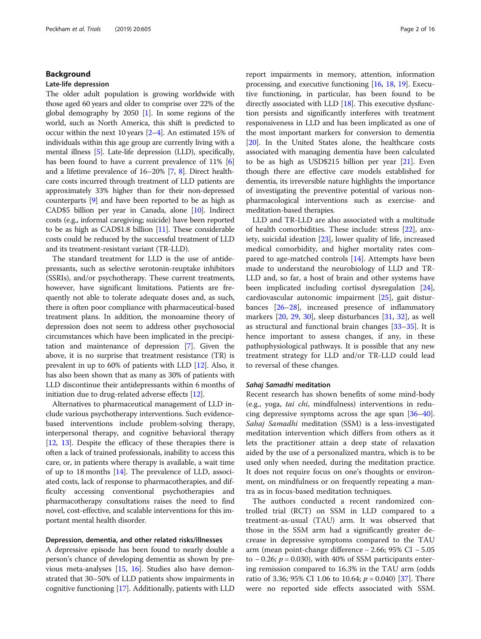## Background

## Late-life depression

The older adult population is growing worldwide with those aged 60 years and older to comprise over 22% of the global demography by 2050 [\[1](#page-13-0)]. In some regions of the world, such as North America, this shift is predicted to occur within the next 10 years [[2](#page-13-0)–[4\]](#page-13-0). An estimated 15% of individuals within this age group are currently living with a mental illness [\[5](#page-13-0)]. Late-life depression (LLD), specifically, has been found to have a current prevalence of 11% [[6](#page-13-0)] and a lifetime prevalence of 16–20% [[7,](#page-13-0) [8\]](#page-13-0). Direct healthcare costs incurred through treatment of LLD patients are approximately 33% higher than for their non-depressed counterparts [\[9](#page-13-0)] and have been reported to be as high as CAD\$5 billion per year in Canada, alone [[10](#page-13-0)]. Indirect costs (e.g., informal caregiving; suicide) have been reported to be as high as CAD\$1.8 billion [\[11](#page-13-0)]. These considerable costs could be reduced by the successful treatment of LLD and its treatment-resistant variant (TR-LLD).

The standard treatment for LLD is the use of antidepressants, such as selective serotonin-reuptake inhibitors (SSRIs), and/or psychotherapy. These current treatments, however, have significant limitations. Patients are frequently not able to tolerate adequate doses and, as such, there is often poor compliance with pharmaceutical-based treatment plans. In addition, the monoamine theory of depression does not seem to address other psychosocial circumstances which have been implicated in the precipitation and maintenance of depression [\[7](#page-13-0)]. Given the above, it is no surprise that treatment resistance (TR) is prevalent in up to 60% of patients with LLD [\[12](#page-13-0)]. Also, it has also been shown that as many as 30% of patients with LLD discontinue their antidepressants within 6 months of initiation due to drug-related adverse effects [[12](#page-13-0)].

Alternatives to pharmaceutical management of LLD include various psychotherapy interventions. Such evidencebased interventions include problem-solving therapy, interpersonal therapy, and cognitive behavioral therapy [[12](#page-13-0), [13\]](#page-13-0). Despite the efficacy of these therapies there is often a lack of trained professionals, inability to access this care, or, in patients where therapy is available, a wait time of up to 18 months [\[14\]](#page-13-0). The prevalence of LLD, associated costs, lack of response to pharmacotherapies, and difficulty accessing conventional psychotherapies and pharmacotherapy consultations raises the need to find novel, cost-effective, and scalable interventions for this important mental health disorder.

## Depression, dementia, and other related risks/illnesses

A depressive episode has been found to nearly double a person's chance of developing dementia as shown by previous meta-analyses [\[15,](#page-14-0) [16](#page-14-0)]. Studies also have demonstrated that 30–50% of LLD patients show impairments in cognitive functioning [\[17\]](#page-14-0). Additionally, patients with LLD

report impairments in memory, attention, information processing, and executive functioning [\[16,](#page-14-0) [18,](#page-14-0) [19\]](#page-14-0). Executive functioning, in particular, has been found to be directly associated with LLD [\[18](#page-14-0)]. This executive dysfunction persists and significantly interferes with treatment responsiveness in LLD and has been implicated as one of the most important markers for conversion to dementia [[20](#page-14-0)]. In the United States alone, the healthcare costs associated with managing dementia have been calculated to be as high as USD\$215 billion per year [\[21\]](#page-14-0). Even though there are effective care models established for dementia, its irreversible nature highlights the importance of investigating the preventive potential of various nonpharmacological interventions such as exercise- and meditation-based therapies.

LLD and TR-LLD are also associated with a multitude of health comorbidities. These include: stress [\[22](#page-14-0)], anxiety, suicidal ideation [\[23](#page-14-0)], lower quality of life, increased medical comorbidity, and higher mortality rates compared to age-matched controls [[14](#page-13-0)]. Attempts have been made to understand the neurobiology of LLD and TR-LLD and, so far, a host of brain and other systems have been implicated including cortisol dysregulation [\[24](#page-14-0)], cardiovascular autonomic impairment [[25\]](#page-14-0), gait disturbances [\[26](#page-14-0)–[28](#page-14-0)], increased presence of inflammatory markers [[20](#page-14-0), [29,](#page-14-0) [30](#page-14-0)], sleep disturbances [\[31](#page-14-0), [32\]](#page-14-0), as well as structural and functional brain changes [[33](#page-14-0)–[35](#page-14-0)]. It is hence important to assess changes, if any, in these pathophysiological pathways. It is possible that any new treatment strategy for LLD and/or TR-LLD could lead to reversal of these changes.

#### Sahaj Samadhi meditation

Recent research has shown benefits of some mind-body (e.g., yoga, tai chi, mindfulness) interventions in reducing depressive symptoms across the age span [[36](#page-14-0)–[40](#page-14-0)]. Sahaj Samadhi meditation (SSM) is a less-investigated meditation intervention which differs from others as it lets the practitioner attain a deep state of relaxation aided by the use of a personalized mantra, which is to be used only when needed, during the meditation practice. It does not require focus on one's thoughts or environment, on mindfulness or on frequently repeating a mantra as in focus-based meditation techniques.

The authors conducted a recent randomized controlled trial (RCT) on SSM in LLD compared to a treatment-as-usual (TAU) arm. It was observed that those in the SSM arm had a significantly greater decrease in depressive symptoms compared to the TAU arm (mean point-change difference − 2.66; 95% CI − 5.05 to  $-0.26$ ;  $p = 0.030$ ), with 40% of SSM participants entering remission compared to 16.3% in the TAU arm (odds ratio of 3.36; 95% CI 1.06 to 10.64;  $p = 0.040$  [\[37\]](#page-14-0). There were no reported side effects associated with SSM.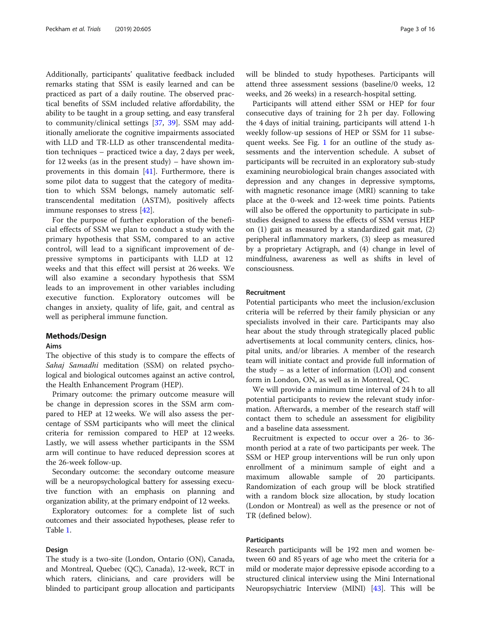Additionally, participants' qualitative feedback included remarks stating that SSM is easily learned and can be practiced as part of a daily routine. The observed practical benefits of SSM included relative affordability, the ability to be taught in a group setting, and easy transferal to community/clinical settings [\[37](#page-14-0), [39\]](#page-14-0). SSM may additionally ameliorate the cognitive impairments associated with LLD and TR-LLD as other transcendental meditation techniques – practiced twice a day, 2 days per week, for 12 weeks (as in the present study) – have shown improvements in this domain [[41\]](#page-14-0). Furthermore, there is some pilot data to suggest that the category of meditation to which SSM belongs, namely automatic selftranscendental meditation (ASTM), positively affects immune responses to stress [\[42\]](#page-14-0).

For the purpose of further exploration of the beneficial effects of SSM we plan to conduct a study with the primary hypothesis that SSM, compared to an active control, will lead to a significant improvement of depressive symptoms in participants with LLD at 12 weeks and that this effect will persist at 26 weeks. We will also examine a secondary hypothesis that SSM leads to an improvement in other variables including executive function. Exploratory outcomes will be changes in anxiety, quality of life, gait, and central as well as peripheral immune function.

#### Methods/Design

#### Aims

The objective of this study is to compare the effects of Sahaj Samadhi meditation (SSM) on related psychological and biological outcomes against an active control, the Health Enhancement Program (HEP).

Primary outcome: the primary outcome measure will be change in depression scores in the SSM arm compared to HEP at 12 weeks. We will also assess the percentage of SSM participants who will meet the clinical criteria for remission compared to HEP at 12 weeks. Lastly, we will assess whether participants in the SSM arm will continue to have reduced depression scores at the 26-week follow-up.

Secondary outcome: the secondary outcome measure will be a neuropsychological battery for assessing executive function with an emphasis on planning and organization ability, at the primary endpoint of 12 weeks.

Exploratory outcomes: for a complete list of such outcomes and their associated hypotheses, please refer to Table [1](#page-3-0).

## Design

The study is a two-site (London, Ontario (ON), Canada, and Montreal, Quebec (QC), Canada), 12-week, RCT in which raters, clinicians, and care providers will be blinded to participant group allocation and participants will be blinded to study hypotheses. Participants will attend three assessment sessions (baseline/0 weeks, 12 weeks, and 26 weeks) in a research-hospital setting.

Participants will attend either SSM or HEP for four consecutive days of training for 2 h per day. Following the 4 days of initial training, participants will attend 1-h weekly follow-up sessions of HEP or SSM for 11 subsequent weeks. See Fig. [1](#page-4-0) for an outline of the study assessments and the intervention schedule. A subset of participants will be recruited in an exploratory sub-study examining neurobiological brain changes associated with depression and any changes in depressive symptoms, with magnetic resonance image (MRI) scanning to take place at the 0-week and 12-week time points. Patients will also be offered the opportunity to participate in substudies designed to assess the effects of SSM versus HEP on (1) gait as measured by a standardized gait mat, (2) peripheral inflammatory markers, (3) sleep as measured by a proprietary Actigraph, and (4) change in level of mindfulness, awareness as well as shifts in level of consciousness.

## Recruitment

Potential participants who meet the inclusion/exclusion criteria will be referred by their family physician or any specialists involved in their care. Participants may also hear about the study through strategically placed public advertisements at local community centers, clinics, hospital units, and/or libraries. A member of the research team will initiate contact and provide full information of the study – as a letter of information (LOI) and consent form in London, ON, as well as in Montreal, QC.

We will provide a minimum time interval of 24 h to all potential participants to review the relevant study information. Afterwards, a member of the research staff will contact them to schedule an assessment for eligibility and a baseline data assessment.

Recruitment is expected to occur over a 26- to 36 month period at a rate of two participants per week. The SSM or HEP group interventions will be run only upon enrollment of a minimum sample of eight and a maximum allowable sample of 20 participants. Randomization of each group will be block stratified with a random block size allocation, by study location (London or Montreal) as well as the presence or not of TR (defined below).

## Participants

Research participants will be 192 men and women between 60 and 85 years of age who meet the criteria for a mild or moderate major depressive episode according to a structured clinical interview using the Mini International Neuropsychiatric Interview (MINI) [\[43](#page-14-0)]. This will be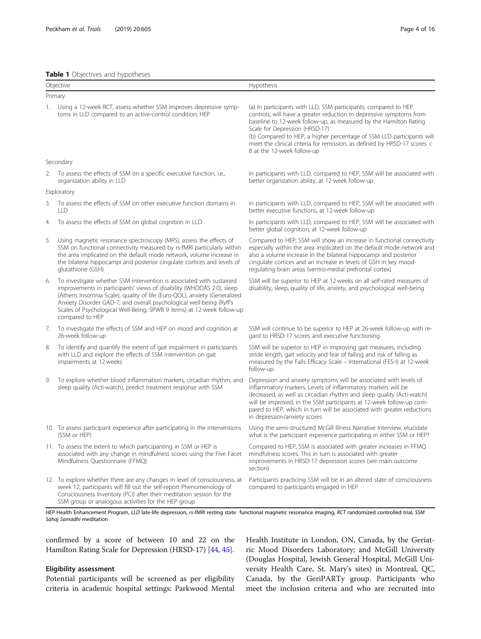#### <span id="page-3-0"></span>Table 1 Objectives and hypotheses

| Objective |                                                                                                                                                                                                                                                                                                                                                                                                                                               | Hypothesis                                                                                                                                                                                                                                                                                                                                                                                                                       |  |
|-----------|-----------------------------------------------------------------------------------------------------------------------------------------------------------------------------------------------------------------------------------------------------------------------------------------------------------------------------------------------------------------------------------------------------------------------------------------------|----------------------------------------------------------------------------------------------------------------------------------------------------------------------------------------------------------------------------------------------------------------------------------------------------------------------------------------------------------------------------------------------------------------------------------|--|
|           | Primary                                                                                                                                                                                                                                                                                                                                                                                                                                       |                                                                                                                                                                                                                                                                                                                                                                                                                                  |  |
|           | 1. Using a 12-week RCT, assess whether SSM improves depressive symp-<br>toms in LLD compared to an active-control condition; HEP                                                                                                                                                                                                                                                                                                              | (a) In participants with LLD, SSM participants, compared to HEP<br>controls, will have a greater reduction in depressive symptoms from<br>baseline to 12-week follow-up, as measured by the Hamilton Rating<br>Scale for Depression (HRSD-17)<br>(b) Compared to HEP, a higher percentage of SSM LLD participants will<br>meet the clinical criteria for remission, as defined by HRSD-17 scores <<br>8 at the 12-week follow-up |  |
|           | Secondary                                                                                                                                                                                                                                                                                                                                                                                                                                     |                                                                                                                                                                                                                                                                                                                                                                                                                                  |  |
| 2.        | To assess the effects of SSM on a specific executive function, i.e.,<br>organization ability in LLD                                                                                                                                                                                                                                                                                                                                           | In participants with LLD, compared to HEP, SSM will be associated with<br>better organization ability, at 12-week follow-up                                                                                                                                                                                                                                                                                                      |  |
|           | Exploratory                                                                                                                                                                                                                                                                                                                                                                                                                                   |                                                                                                                                                                                                                                                                                                                                                                                                                                  |  |
| 3.        | To assess the effects of SSM on other executive function domains in<br><b>LLD</b>                                                                                                                                                                                                                                                                                                                                                             | In participants with LLD, compared to HEP, SSM will be associated with<br>better executive functions, at 12-week follow-up                                                                                                                                                                                                                                                                                                       |  |
| 4.        | To assess the effects of SSM on global cognition in LLD                                                                                                                                                                                                                                                                                                                                                                                       | In participants with LLD, compared to HEP, SSM will be associated with<br>better global cognition, at 12-week follow-up                                                                                                                                                                                                                                                                                                          |  |
| 5.        | Using magnetic resonance spectroscopy (MRS), assess the effects of<br>SSM on functional connectivity measured by rs-fMRI particularly within<br>the area implicated on the default mode network, volume increase in<br>the bilateral hippocampi and posterior cingulate cortices and levels of<br>glutathione (GSH)                                                                                                                           | Compared to HEP, SSM will show an increase in functional connectivity<br>especially within the area implicated on the default mode network and<br>also a volume increase in the bilateral hippocampi and posterior<br>cingulate cortices and an increase in levels of GSH in key mood-<br>regulating brain areas (ventro-medial prefrontal cortex)                                                                               |  |
| 6.        | To investigate whether SSM intervention is associated with sustained<br>improvements in participants' views of disability (WHODAS 2.0), sleep<br>(Athens Insomnia Scale), quality of life (Euro-QOL), anxiety (Generalized<br>Anxiety Disorder GAD-7, and overall psychological well-being (Ryff's<br>Scales of Psychological Well-Being; SPWB 9 items) at 12-week follow-up<br>compared to HEP                                               | SSM will be superior to HEP at 12 weeks on all self-rated measures of<br>disability, sleep, quality of life, anxiety, and psychological well-being                                                                                                                                                                                                                                                                               |  |
| 7.        | To investigate the effects of SSM and HEP on mood and cognition at<br>26-week follow-up                                                                                                                                                                                                                                                                                                                                                       | SSM will continue to be superior to HEP at 26-week follow-up with re-<br>gard to HRSD-17 scores and executive functioning                                                                                                                                                                                                                                                                                                        |  |
| 8.        | To identify and quantify the extent of gait impairment in participants<br>with LLD and explore the effects of SSM intervention on gait<br>impairments at 12 weeks                                                                                                                                                                                                                                                                             | SSM will be superior to HEP in improving gait measures, including<br>stride length, gait velocity and fear of falling and risk of falling as<br>measured by the Falls Efficacy Scale - International (FES-I) at 12-week<br>follow-up                                                                                                                                                                                             |  |
| 9.        | To explore whether blood inflammation markers, circadian rhythm, and<br>sleep quality (Acti-watch), predict treatment response with SSM                                                                                                                                                                                                                                                                                                       | Depression and anxiety symptoms will be associated with levels of<br>inflammatory markers. Levels of inflammatory markers will be<br>decreased, as well as circadian rhythm and sleep quality (Acti-watch)<br>will be improved, in the SSM participants at 12-week follow-up com-<br>pared to HEP, which in turn will be associated with greater reductions<br>in depression/anxiety scores                                      |  |
|           | 10. To assess participant experience after participating in the interventions<br>(SSM or HEP)                                                                                                                                                                                                                                                                                                                                                 | Using the semi-structured McGill Illness Narrative Interview, elucidate<br>what is the participant experience participating in either SSM or HEP?                                                                                                                                                                                                                                                                                |  |
|           | 11. To assess the extent to which participanting in SSM or HEP is<br>associated with any change in mindfulness scores using the Five Facet<br>Mindfulness Questionnaire (FFMQ)                                                                                                                                                                                                                                                                | Compared to HEP, SSM is associated with greater increases in FFMQ<br>mindfulness scores. This in turn is associated with greater<br>improvements in HRSD-17 depression scores (see main outcome<br>section)                                                                                                                                                                                                                      |  |
|           | 12. To explore whether there are any changes in level of consciousness, at<br>week 12, participants will fill out the self-report Phenomenology of<br>Consciousness Inventory (PCI) after their meditation session for the<br>SSM group or analogous activities for the HEP group<br>UCD Haalth Enhancement Dreamen U.D. late life depression rs fUDI resting state functional magnetic recononce imaging DCT randomized controlled trial CCM | Participants practicing SSM will be in an altered state of consciousness<br>compared to participants engaged in HEP                                                                                                                                                                                                                                                                                                              |  |

HEP Health Enhancement Program, LLD late-life depression, rs-fMRI resting state functional magnetic resonance imaging, RCT randomized controlled trial, SSM Sahaj Samadhi meditation

confirmed by a score of between 10 and 22 on the Hamilton Rating Scale for Depression (HRSD-17) [[44](#page-14-0), [45\]](#page-14-0).

## Eligibility assessment

Potential participants will be screened as per eligibility criteria in academic hospital settings: Parkwood Mental Health Institute in London, ON, Canada, by the Geriatric Mood Disorders Laboratory; and McGill University (Douglas Hospital, Jewish General Hospital, McGill University Health Care, St. Mary's sites) in Montreal, QC, Canada, by the GeriPARTy group. Participants who meet the inclusion criteria and who are recruited into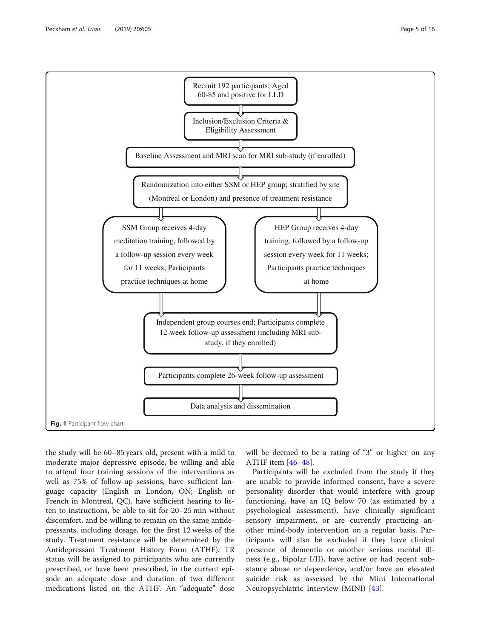<span id="page-4-0"></span>

the study will be 60–85 years old, present with a mild to moderate major depressive episode, be willing and able to attend four training sessions of the interventions as well as 75% of follow-up sessions, have sufficient language capacity (English in London, ON; English or French in Montreal, QC), have sufficient hearing to listen to instructions, be able to sit for 20–25 min without discomfort, and be willing to remain on the same antidepressants, including dosage, for the first 12 weeks of the study. Treatment resistance will be determined by the Antidepressant Treatment History Form (ATHF). TR status will be assigned to participants who are currently prescribed, or have been prescribed, in the current episode an adequate dose and duration of two different medications listed on the ATHF. An "adequate" dose will be deemed to be a rating of "3" or higher on any ATHF item [\[46](#page-14-0)–[48\]](#page-14-0).

Participants will be excluded from the study if they are unable to provide informed consent, have a severe personality disorder that would interfere with group functioning, have an IQ below 70 (as estimated by a psychological assessment), have clinically significant sensory impairment, or are currently practicing another mind-body intervention on a regular basis. Participants will also be excluded if they have clinical presence of dementia or another serious mental illness (e.g., bipolar I/II), have active or had recent substance abuse or dependence, and/or have an elevated suicide risk as assessed by the Mini International Neuropsychiatric Interview (MINI) [[43](#page-14-0)].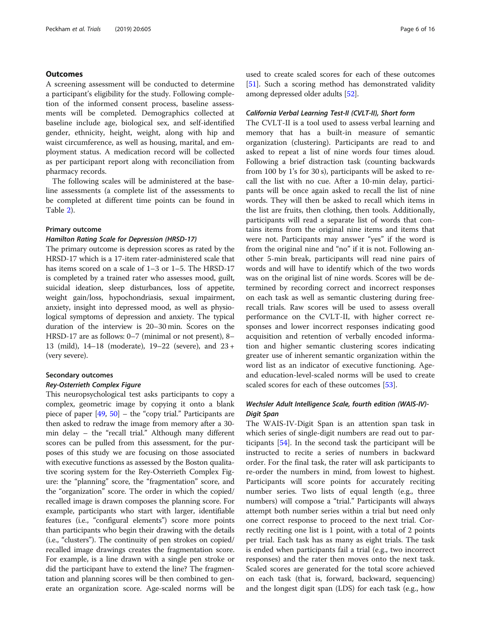## **Outcomes**

A screening assessment will be conducted to determine a participant's eligibility for the study. Following completion of the informed consent process, baseline assessments will be completed. Demographics collected at baseline include age, biological sex, and self-identified gender, ethnicity, height, weight, along with hip and waist circumference, as well as housing, marital, and employment status. A medication record will be collected as per participant report along with reconciliation from pharmacy records.

The following scales will be administered at the baseline assessments (a complete list of the assessments to be completed at different time points can be found in Table [2\)](#page-6-0).

## Primary outcome

## Hamilton Rating Scale for Depression (HRSD-17)

The primary outcome is depression scores as rated by the HRSD-17 which is a 17-item rater-administered scale that has items scored on a scale of 1–3 or 1–5. The HRSD-17 is completed by a trained rater who assesses mood, guilt, suicidal ideation, sleep disturbances, loss of appetite, weight gain/loss, hypochondriasis, sexual impairment, anxiety, insight into depressed mood, as well as physiological symptoms of depression and anxiety. The typical duration of the interview is 20–30 min. Scores on the HRSD-17 are as follows: 0–7 (minimal or not present), 8– 13 (mild), 14–18 (moderate), 19–22 (severe), and 23 + (very severe).

## Secondary outcomes

## Rey-Osterrieth Complex Figure

This neuropsychological test asks participants to copy a complex, geometric image by copying it onto a blank piece of paper [[49](#page-14-0), [50](#page-14-0)] – the "copy trial." Participants are then asked to redraw the image from memory after a 30 min delay – the "recall trial." Although many different scores can be pulled from this assessment, for the purposes of this study we are focusing on those associated with executive functions as assessed by the Boston qualitative scoring system for the Rey-Osterrieth Complex Figure: the "planning" score, the "fragmentation" score, and the "organization" score. The order in which the copied/ recalled image is drawn composes the planning score. For example, participants who start with larger, identifiable features (i.e., "configural elements") score more points than participants who begin their drawing with the details (i.e., "clusters"). The continuity of pen strokes on copied/ recalled image drawings creates the fragmentation score. For example, is a line drawn with a single pen stroke or did the participant have to extend the line? The fragmentation and planning scores will be then combined to generate an organization score. Age-scaled norms will be

used to create scaled scores for each of these outcomes [[51](#page-14-0)]. Such a scoring method has demonstrated validity among depressed older adults [\[52](#page-14-0)].

## California Verbal Learning Test-II (CVLT-II), Short form

The CVLT-II is a tool used to assess verbal learning and memory that has a built-in measure of semantic organization (clustering). Participants are read to and asked to repeat a list of nine words four times aloud. Following a brief distraction task (counting backwards from 100 by 1's for 30 s), participants will be asked to recall the list with no cue. After a 10-min delay, participants will be once again asked to recall the list of nine words. They will then be asked to recall which items in the list are fruits, then clothing, then tools. Additionally, participants will read a separate list of words that contains items from the original nine items and items that were not. Participants may answer "yes" if the word is from the original nine and "no" if it is not. Following another 5-min break, participants will read nine pairs of words and will have to identify which of the two words was on the original list of nine words. Scores will be determined by recording correct and incorrect responses on each task as well as semantic clustering during freerecall trials. Raw scores will be used to assess overall performance on the CVLT-II, with higher correct responses and lower incorrect responses indicating good acquisition and retention of verbally encoded information and higher semantic clustering scores indicating greater use of inherent semantic organization within the word list as an indicator of executive functioning. Ageand education-level-scaled norms will be used to create scaled scores for each of these outcomes [\[53\]](#page-14-0).

## Wechsler Adult Intelligence Scale, fourth edition (WAIS-IV)- Digit Span

The WAIS-IV-Digit Span is an attention span task in which series of single-digit numbers are read out to participants [\[54](#page-14-0)]. In the second task the participant will be instructed to recite a series of numbers in backward order. For the final task, the rater will ask participants to re-order the numbers in mind, from lowest to highest. Participants will score points for accurately reciting number series. Two lists of equal length (e.g., three numbers) will compose a "trial." Participants will always attempt both number series within a trial but need only one correct response to proceed to the next trial. Correctly reciting one list is 1 point, with a total of 2 points per trial. Each task has as many as eight trials. The task is ended when participants fail a trial (e.g., two incorrect responses) and the rater then moves onto the next task. Scaled scores are generated for the total score achieved on each task (that is, forward, backward, sequencing) and the longest digit span (LDS) for each task (e.g., how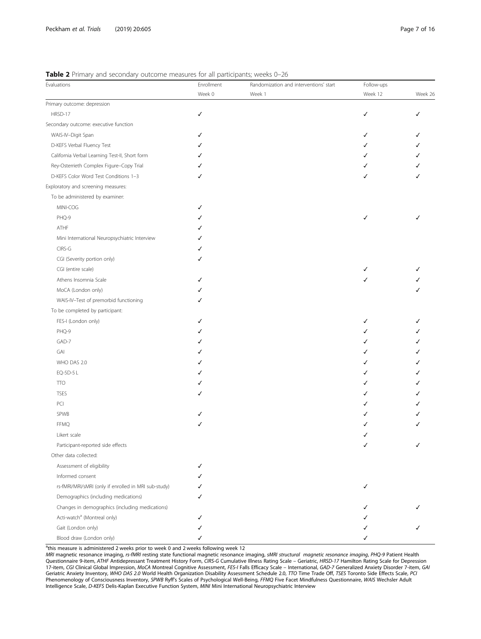## <span id="page-6-0"></span>Table 2 Primary and secondary outcome measures for all participants; weeks 0-26

| $\blacksquare$ a., and secondary categoric measures for an participantly<br>Evaluations | Enrollment | Randomization and interventions' start | Follow-ups |         |
|-----------------------------------------------------------------------------------------|------------|----------------------------------------|------------|---------|
|                                                                                         | Week 0     | Week 1                                 | Week 12    | Week 26 |
| Primary outcome: depression                                                             |            |                                        |            |         |
| HRSD-17                                                                                 | ✓          |                                        | ✓          |         |
| Secondary outcome: executive function                                                   |            |                                        |            |         |
| WAIS-IV-Digit Span                                                                      |            |                                        | ✓          |         |
| D-KEFS Verbal Fluency Test                                                              |            |                                        |            |         |
| California Verbal Learning Test-II, Short form                                          |            |                                        |            |         |
| Rey-Osterrieth Complex Figure-Copy Trial                                                |            |                                        |            |         |
| D-KEFS Color Word Test Conditions 1-3                                                   | J          |                                        | ✓          |         |
| Exploratory and screening measures:                                                     |            |                                        |            |         |
| To be administered by examiner:                                                         |            |                                        |            |         |
| MINI-COG                                                                                |            |                                        |            |         |
| PHQ-9                                                                                   |            |                                        | ✓          |         |
| ATHF                                                                                    |            |                                        |            |         |
| Mini International Neuropsychiatric Interview                                           |            |                                        |            |         |
| CIRS-G                                                                                  |            |                                        |            |         |
| CGI (Severity portion only)                                                             |            |                                        |            |         |
| CGI (entire scale)                                                                      |            |                                        |            |         |
| Athens Insomnia Scale                                                                   |            |                                        |            |         |
| MoCA (London only)                                                                      |            |                                        |            |         |
| WAIS-IV-Test of premorbid functioning                                                   |            |                                        |            |         |
| To be completed by participant:                                                         |            |                                        |            |         |
| FES-I (London only)                                                                     |            |                                        | ✓          |         |
| PHQ-9                                                                                   |            |                                        |            |         |
| GAD-7                                                                                   |            |                                        |            |         |
| GAI                                                                                     |            |                                        |            |         |
| WHO DAS 2.0                                                                             |            |                                        |            |         |
| EQ-5D-5 L                                                                               |            |                                        |            |         |
| <b>TTO</b>                                                                              |            |                                        |            |         |
| <b>TSES</b>                                                                             |            |                                        |            |         |
| PCI                                                                                     |            |                                        |            |         |
| SPWB                                                                                    |            |                                        |            |         |
| <b>FFMQ</b>                                                                             |            |                                        |            |         |
| Likert scale                                                                            |            |                                        |            |         |
| Participant-reported side effects                                                       |            |                                        | ✓          |         |
| Other data collected:                                                                   |            |                                        |            |         |
| Assessment of eligibility                                                               | ✓          |                                        |            |         |
| Informed consent                                                                        |            |                                        |            |         |
| rs-fMRI/MRI/sMRI (only if enrolled in MRI sub-study)                                    | J          |                                        | ✓          |         |
| Demographics (including medications)                                                    |            |                                        |            |         |
| Changes in demographics (including medications)                                         |            |                                        |            |         |
| Acti-watch <sup>a</sup> (Montreal only)                                                 |            |                                        |            |         |
| Gait (London only)                                                                      |            |                                        |            |         |
| Blood draw (London only)                                                                | ✓          |                                        | ✓          |         |
|                                                                                         |            |                                        |            |         |

<sup>a</sup>this measure is administered 2 weeks prior to week 0 and 2 weeks following week 12

MRI magnetic resonance imaging, *rs-fIMRI* resting state functional magnetic resonance imaging, *sMRI structural magnetic resonance imaging*, *PHQ-9* Patient Health<br>Questionnaire 9-item, ATHF Antidepressant Treatment Histo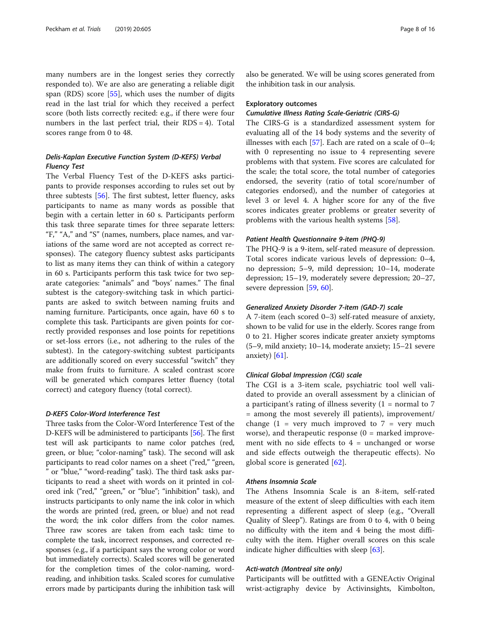many numbers are in the longest series they correctly responded to). We are also are generating a reliable digit span (RDS) score [[55\]](#page-14-0), which uses the number of digits read in the last trial for which they received a perfect score (both lists correctly recited: e.g., if there were four numbers in the last perfect trial, their  $RDS = 4$ ). Total scores range from 0 to 48.

## Delis-Kaplan Executive Function System (D-KEFS) Verbal Fluency Test

The Verbal Fluency Test of the D-KEFS asks participants to provide responses according to rules set out by three subtests [[56](#page-14-0)]. The first subtest, letter fluency, asks participants to name as many words as possible that begin with a certain letter in 60 s. Participants perform this task three separate times for three separate letters: "F," "A," and "S" (names, numbers, place names, and variations of the same word are not accepted as correct responses). The category fluency subtest asks participants to list as many items they can think of within a category in 60 s. Participants perform this task twice for two separate categories: "animals" and "boys' names." The final subtest is the category-switching task in which participants are asked to switch between naming fruits and naming furniture. Participants, once again, have 60 s to complete this task. Participants are given points for correctly provided responses and lose points for repetitions or set-loss errors (i.e., not adhering to the rules of the subtest). In the category-switching subtest participants are additionally scored on every successful "switch" they make from fruits to furniture. A scaled contrast score will be generated which compares letter fluency (total correct) and category fluency (total correct).

## D-KEFS Color-Word Interference Test

Three tasks from the Color-Word Interference Test of the D-KEFS will be administered to participants [[56](#page-14-0)]. The first test will ask participants to name color patches (red, green, or blue; "color-naming" task). The second will ask participants to read color names on a sheet ("red," "green, " or "blue," "word-reading" task). The third task asks participants to read a sheet with words on it printed in colored ink ("red," "green," or "blue"; "inhibition" task), and instructs participants to only name the ink color in which the words are printed (red, green, or blue) and not read the word; the ink color differs from the color names. Three raw scores are taken from each task: time to complete the task, incorrect responses, and corrected responses (e.g., if a participant says the wrong color or word but immediately corrects). Scaled scores will be generated for the completion times of the color-naming, wordreading, and inhibition tasks. Scaled scores for cumulative errors made by participants during the inhibition task will

also be generated. We will be using scores generated from the inhibition task in our analysis.

#### Exploratory outcomes

## Cumulative Illness Rating Scale-Geriatric (CIRS-G)

The CIRS-G is a standardized assessment system for evaluating all of the 14 body systems and the severity of illnesses with each [\[57](#page-14-0)]. Each are rated on a scale of 0–4; with 0 representing no issue to 4 representing severe problems with that system. Five scores are calculated for the scale; the total score, the total number of categories endorsed, the severity (ratio of total score/number of categories endorsed), and the number of categories at level 3 or level 4. A higher score for any of the five scores indicates greater problems or greater severity of problems with the various health systems [\[58](#page-14-0)].

### Patient Health Questionnaire 9-item (PHQ-9)

The PHQ-9 is a 9-item, self-rated measure of depression. Total scores indicate various levels of depression: 0–4, no depression; 5–9, mild depression; 10–14, moderate depression; 15–19, moderately severe depression; 20–27, severe depression [[59](#page-14-0), [60](#page-14-0)].

### Generalized Anxiety Disorder 7-item (GAD-7) scale

A 7-item (each scored 0–3) self-rated measure of anxiety, shown to be valid for use in the elderly. Scores range from 0 to 21. Higher scores indicate greater anxiety symptoms (5–9, mild anxiety; 10–14, moderate anxiety; 15–21 severe anxiety)  $[61]$ .

## Clinical Global Impression (CGI) scale

The CGI is a 3-item scale, psychiatric tool well validated to provide an overall assessment by a clinician of a participant's rating of illness severity  $(1 = normal to 7)$ = among the most severely ill patients), improvement/ change  $(1 = \text{very much improved to } 7 = \text{very much})$ worse), and therapeutic response  $(0 =$  marked improvement with no side effects to  $4 =$  unchanged or worse and side effects outweigh the therapeutic effects). No global score is generated [[62\]](#page-14-0).

## Athens Insomnia Scale

The Athens Insomnia Scale is an 8-item, self-rated measure of the extent of sleep difficulties with each item representing a different aspect of sleep (e.g., "Overall Quality of Sleep"). Ratings are from 0 to 4, with 0 being no difficulty with the item and 4 being the most difficulty with the item. Higher overall scores on this scale indicate higher difficulties with sleep [\[63\]](#page-14-0).

#### Acti-watch (Montreal site only)

Participants will be outfitted with a GENEActiv Original wrist-actigraphy device by Activinsights, Kimbolton,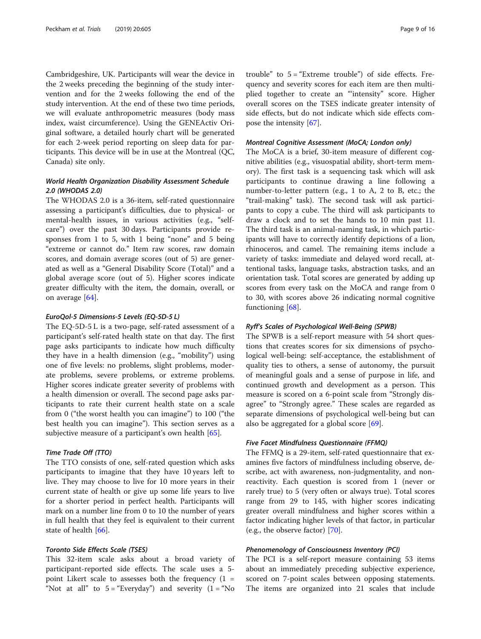Cambridgeshire, UK. Participants will wear the device in the 2 weeks preceding the beginning of the study intervention and for the 2 weeks following the end of the study intervention. At the end of these two time periods, we will evaluate anthropometric measures (body mass index, waist circumference). Using the GENEActiv Original software, a detailed hourly chart will be generated for each 2-week period reporting on sleep data for participants. This device will be in use at the Montreal (QC, Canada) site only.

## World Health Organization Disability Assessment Schedule 2.0 (WHODAS 2.0)

The WHODAS 2.0 is a 36-item, self-rated questionnaire assessing a participant's difficulties, due to physical- or mental-health issues, in various activities (e.g., "selfcare") over the past 30 days. Participants provide responses from 1 to 5, with 1 being "none" and 5 being "extreme or cannot do." Item raw scores, raw domain scores, and domain average scores (out of 5) are generated as well as a "General Disability Score (Total)" and a global average score (out of 5). Higher scores indicate greater difficulty with the item, the domain, overall, or on average [[64\]](#page-15-0).

#### EuroQol-5 Dimensions-5 Levels (EQ-5D-5 L)

The EQ-5D-5 L is a two-page, self-rated assessment of a participant's self-rated health state on that day. The first page asks participants to indicate how much difficulty they have in a health dimension (e.g., "mobility") using one of five levels: no problems, slight problems, moderate problems, severe problems, or extreme problems. Higher scores indicate greater severity of problems with a health dimension or overall. The second page asks participants to rate their current health state on a scale from 0 ("the worst health you can imagine") to 100 ("the best health you can imagine"). This section serves as a subjective measure of a participant's own health [\[65](#page-15-0)].

## Time Trade Off (TTO)

The TTO consists of one, self-rated question which asks participants to imagine that they have 10 years left to live. They may choose to live for 10 more years in their current state of health or give up some life years to live for a shorter period in perfect health. Participants will mark on a number line from 0 to 10 the number of years in full health that they feel is equivalent to their current state of health  $[66]$  $[66]$ .

## Toronto Side Effects Scale (TSES)

This 32-item scale asks about a broad variety of participant-reported side effects. The scale uses a 5 point Likert scale to assesses both the frequency  $(1 =$ "Not at all" to  $5 =$  "Everyday") and severity  $(1 =$  "No trouble" to  $5 =$  "Extreme trouble") of side effects. Frequency and severity scores for each item are then multiplied together to create an "'intensity" score. Higher overall scores on the TSES indicate greater intensity of side effects, but do not indicate which side effects compose the intensity [[67\]](#page-15-0).

## Montreal Cognitive Assessment (MoCA; London only)

The MoCA is a brief, 30-item measure of different cognitive abilities (e.g., visuospatial ability, short-term memory). The first task is a sequencing task which will ask participants to continue drawing a line following a number-to-letter pattern (e.g., 1 to A, 2 to B, etc.; the "trail-making" task). The second task will ask participants to copy a cube. The third will ask participants to draw a clock and to set the hands to 10 min past 11. The third task is an animal-naming task, in which participants will have to correctly identify depictions of a lion, rhinoceros, and camel. The remaining items include a variety of tasks: immediate and delayed word recall, attentional tasks, language tasks, abstraction tasks, and an orientation task. Total scores are generated by adding up scores from every task on the MoCA and range from 0 to 30, with scores above 26 indicating normal cognitive functioning [[68\]](#page-15-0).

#### Ryff's Scales of Psychological Well-Being (SPWB)

The SPWB is a self-report measure with 54 short questions that creates scores for six dimensions of psychological well-being: self-acceptance, the establishment of quality ties to others, a sense of autonomy, the pursuit of meaningful goals and a sense of purpose in life, and continued growth and development as a person. This measure is scored on a 6-point scale from "Strongly disagree" to "Strongly agree." These scales are regarded as separate dimensions of psychological well-being but can also be aggregated for a global score [\[69](#page-15-0)].

## Five Facet Mindfulness Questionnaire (FFMQ)

The FFMQ is a 29-item, self-rated questionnaire that examines five factors of mindfulness including observe, describe, act with awareness, non-judgmentality, and nonreactivity. Each question is scored from 1 (never or rarely true) to 5 (very often or always true). Total scores range from 29 to 145, with higher scores indicating greater overall mindfulness and higher scores within a factor indicating higher levels of that factor, in particular (e.g., the observe factor) [\[70\]](#page-15-0).

## Phenomenology of Consciousness Inventory (PCI)

The PCI is a self-report measure containing 53 items about an immediately preceding subjective experience, scored on 7-point scales between opposing statements. The items are organized into 21 scales that include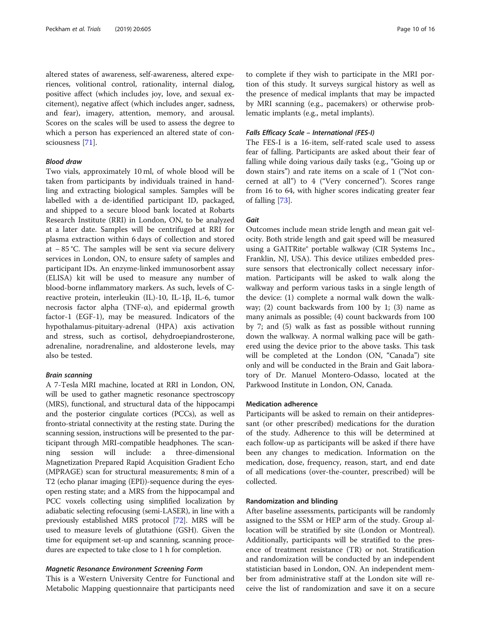altered states of awareness, self-awareness, altered experiences, volitional control, rationality, internal dialog, positive affect (which includes joy, love, and sexual excitement), negative affect (which includes anger, sadness, and fear), imagery, attention, memory, and arousal. Scores on the scales will be used to assess the degree to which a person has experienced an altered state of consciousness [\[71\]](#page-15-0).

## Blood draw

Two vials, approximately 10 ml, of whole blood will be taken from participants by individuals trained in handling and extracting biological samples. Samples will be labelled with a de-identified participant ID, packaged, and shipped to a secure blood bank located at Robarts Research Institute (RRI) in London, ON, to be analyzed at a later date. Samples will be centrifuged at RRI for plasma extraction within 6 days of collection and stored at − 85 °C. The samples will be sent via secure delivery services in London, ON, to ensure safety of samples and participant IDs. An enzyme-linked immunosorbent assay (ELISA) kit will be used to measure any number of blood-borne inflammatory markers. As such, levels of Creactive protein, interleukin (IL)-10, IL-1β, IL-6, tumor necrosis factor alpha (TNF- $α$ ), and epidermal growth factor-1 (EGF-1), may be measured. Indicators of the hypothalamus-pituitary-adrenal (HPA) axis activation and stress, such as cortisol, dehydroepiandrosterone, adrenaline, noradrenaline, and aldosterone levels, may also be tested.

## Brain scanning

A 7-Tesla MRI machine, located at RRI in London, ON, will be used to gather magnetic resonance spectroscopy (MRS), functional, and structural data of the hippocampi and the posterior cingulate cortices (PCCs), as well as fronto-striatal connectivity at the resting state. During the scanning session, instructions will be presented to the participant through MRI-compatible headphones. The scanning session will include: a three-dimensional Magnetization Prepared Rapid Acquisition Gradient Echo (MPRAGE) scan for structural measurements; 8 min of a T2 (echo planar imaging (EPI))-sequence during the eyesopen resting state; and a MRS from the hippocampal and PCC voxels collecting using simplified localization by adiabatic selecting refocusing (semi-LASER), in line with a previously established MRS protocol [\[72](#page-15-0)]. MRS will be used to measure levels of glutathione (GSH). Given the time for equipment set-up and scanning, scanning procedures are expected to take close to 1 h for completion.

#### Magnetic Resonance Environment Screening Form

This is a Western University Centre for Functional and Metabolic Mapping questionnaire that participants need

to complete if they wish to participate in the MRI portion of this study. It surveys surgical history as well as the presence of medical implants that may be impacted by MRI scanning (e.g., pacemakers) or otherwise problematic implants (e.g., metal implants).

## Falls Efficacy Scale – International (FES-I)

The FES-I is a 16-item, self-rated scale used to assess fear of falling. Participants are asked about their fear of falling while doing various daily tasks (e.g., "Going up or down stairs") and rate items on a scale of 1 ("Not concerned at all") to 4 ("Very concerned"). Scores range from 16 to 64, with higher scores indicating greater fear of falling [[73\]](#page-15-0).

#### Gait

Outcomes include mean stride length and mean gait velocity. Both stride length and gait speed will be measured using a GAITRite® portable walkway (CIR Systems Inc., Franklin, NJ, USA). This device utilizes embedded pressure sensors that electronically collect necessary information. Participants will be asked to walk along the walkway and perform various tasks in a single length of the device: (1) complete a normal walk down the walkway; (2) count backwards from 100 by 1; (3) name as many animals as possible; (4) count backwards from 100 by 7; and (5) walk as fast as possible without running down the walkway. A normal walking pace will be gathered using the device prior to the above tasks. This task will be completed at the London (ON, "Canada") site only and will be conducted in the Brain and Gait laboratory of Dr. Manuel Montero-Odasso, located at the Parkwood Institute in London, ON, Canada.

#### Medication adherence

Participants will be asked to remain on their antidepressant (or other prescribed) medications for the duration of the study. Adherence to this will be determined at each follow-up as participants will be asked if there have been any changes to medication. Information on the medication, dose, frequency, reason, start, and end date of all medications (over-the-counter, prescribed) will be collected.

#### Randomization and blinding

After baseline assessments, participants will be randomly assigned to the SSM or HEP arm of the study. Group allocation will be stratified by site (London or Montreal). Additionally, participants will be stratified to the presence of treatment resistance (TR) or not. Stratification and randomization will be conducted by an independent statistician based in London, ON. An independent member from administrative staff at the London site will receive the list of randomization and save it on a secure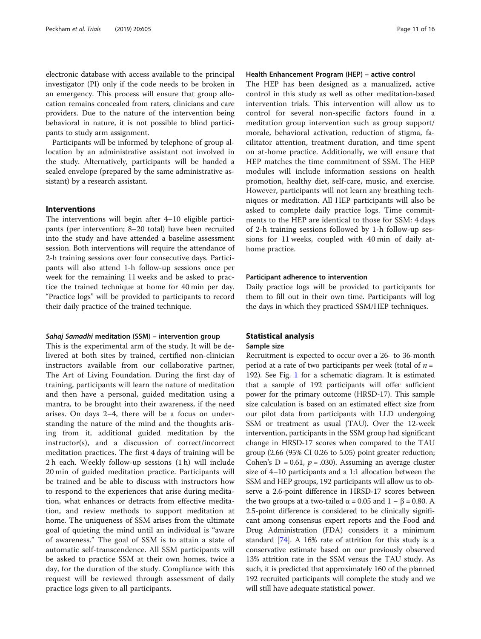electronic database with access available to the principal investigator (PI) only if the code needs to be broken in an emergency. This process will ensure that group allocation remains concealed from raters, clinicians and care providers. Due to the nature of the intervention being behavioral in nature, it is not possible to blind participants to study arm assignment.

Participants will be informed by telephone of group allocation by an administrative assistant not involved in the study. Alternatively, participants will be handed a sealed envelope (prepared by the same administrative assistant) by a research assistant.

## Interventions

The interventions will begin after 4–10 eligible participants (per intervention; 8–20 total) have been recruited into the study and have attended a baseline assessment session. Both interventions will require the attendance of 2-h training sessions over four consecutive days. Participants will also attend 1-h follow-up sessions once per week for the remaining 11 weeks and be asked to practice the trained technique at home for 40 min per day. "Practice logs" will be provided to participants to record their daily practice of the trained technique.

#### Sahaj Samadhi meditation (SSM) – intervention group

This is the experimental arm of the study. It will be delivered at both sites by trained, certified non-clinician instructors available from our collaborative partner, The Art of Living Foundation. During the first day of training, participants will learn the nature of meditation and then have a personal, guided meditation using a mantra, to be brought into their awareness, if the need arises. On days 2–4, there will be a focus on understanding the nature of the mind and the thoughts arising from it, additional guided meditation by the instructor(s), and a discussion of correct/incorrect meditation practices. The first 4 days of training will be 2 h each. Weekly follow-up sessions (1 h) will include 20 min of guided meditation practice. Participants will be trained and be able to discuss with instructors how to respond to the experiences that arise during meditation, what enhances or detracts from effective meditation, and review methods to support meditation at home. The uniqueness of SSM arises from the ultimate goal of quieting the mind until an individual is "aware of awareness." The goal of SSM is to attain a state of automatic self-transcendence. All SSM participants will be asked to practice SSM at their own homes, twice a day, for the duration of the study. Compliance with this request will be reviewed through assessment of daily practice logs given to all participants.

## Health Enhancement Program (HEP) – active control

The HEP has been designed as a manualized, active control in this study as well as other meditation-based intervention trials. This intervention will allow us to control for several non-specific factors found in a meditation group intervention such as group support/ morale, behavioral activation, reduction of stigma, facilitator attention, treatment duration, and time spent on at-home practice. Additionally, we will ensure that HEP matches the time commitment of SSM. The HEP modules will include information sessions on health promotion, healthy diet, self-care, music, and exercise. However, participants will not learn any breathing techniques or meditation. All HEP participants will also be asked to complete daily practice logs. Time commitments to the HEP are identical to those for SSM: 4 days of 2-h training sessions followed by 1-h follow-up sessions for 11 weeks, coupled with 40 min of daily athome practice.

#### Participant adherence to intervention

Daily practice logs will be provided to participants for them to fill out in their own time. Participants will log the days in which they practiced SSM/HEP techniques.

#### Statistical analysis

## Sample size

Recruitment is expected to occur over a 26- to 36-month period at a rate of two participants per week (total of  $n =$ 192). See Fig. [1](#page-4-0) for a schematic diagram. It is estimated that a sample of 192 participants will offer sufficient power for the primary outcome (HRSD-17). This sample size calculation is based on an estimated effect size from our pilot data from participants with LLD undergoing SSM or treatment as usual (TAU). Over the 12-week intervention, participants in the SSM group had significant change in HRSD-17 scores when compared to the TAU group (2.66 (95% CI 0.26 to 5.05) point greater reduction; Cohen's  $D = 0.61$ ,  $p = .030$ ). Assuming an average cluster size of 4–10 participants and a 1:1 allocation between the SSM and HEP groups, 192 participants will allow us to observe a 2.6-point difference in HRSD-17 scores between the two groups at a two-tailed  $\alpha$  = 0.05 and 1 – β = 0.80. A 2.5-point difference is considered to be clinically significant among consensus expert reports and the Food and Drug Administration (FDA) considers it a minimum standard [\[74](#page-15-0)]. A 16% rate of attrition for this study is a conservative estimate based on our previously observed 13% attrition rate in the SSM versus the TAU study. As such, it is predicted that approximately 160 of the planned 192 recruited participants will complete the study and we will still have adequate statistical power.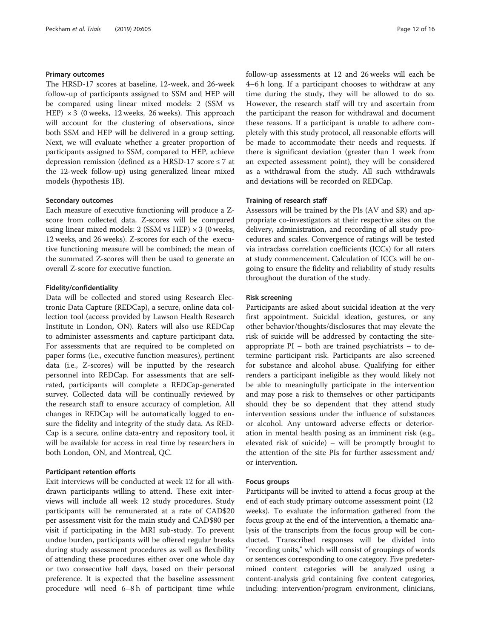## Primary outcomes

The HRSD-17 scores at baseline, 12-week, and 26-week follow-up of participants assigned to SSM and HEP will be compared using linear mixed models: 2 (SSM vs HEP)  $\times$  3 (0 weeks, 12 weeks, 26 weeks). This approach will account for the clustering of observations, since both SSM and HEP will be delivered in a group setting. Next, we will evaluate whether a greater proportion of participants assigned to SSM, compared to HEP, achieve depression remission (defined as a HRSD-17 score ≤ 7 at the 12-week follow-up) using generalized linear mixed models (hypothesis 1B).

## Secondary outcomes

Each measure of executive functioning will produce a Zscore from collected data. Z-scores will be compared using linear mixed models: 2 (SSM vs HEP)  $\times$  3 (0 weeks, 12 weeks, and 26 weeks). Z-scores for each of the executive functioning measure will be combined; the mean of the summated Z-scores will then be used to generate an overall Z-score for executive function.

#### Fidelity/confidentiality

Data will be collected and stored using Research Electronic Data Capture (REDCap), a secure, online data collection tool (access provided by Lawson Health Research Institute in London, ON). Raters will also use REDCap to administer assessments and capture participant data. For assessments that are required to be completed on paper forms (i.e., executive function measures), pertinent data (i.e., Z-scores) will be inputted by the research personnel into REDCap. For assessments that are selfrated, participants will complete a REDCap-generated survey. Collected data will be continually reviewed by the research staff to ensure accuracy of completion. All changes in REDCap will be automatically logged to ensure the fidelity and integrity of the study data. As RED-Cap is a secure, online data-entry and repository tool, it will be available for access in real time by researchers in both London, ON, and Montreal, QC.

### Participant retention efforts

Exit interviews will be conducted at week 12 for all withdrawn participants willing to attend. These exit interviews will include all week 12 study procedures. Study participants will be remunerated at a rate of CAD\$20 per assessment visit for the main study and CAD\$80 per visit if participating in the MRI sub-study. To prevent undue burden, participants will be offered regular breaks during study assessment procedures as well as flexibility of attending these procedures either over one whole day or two consecutive half days, based on their personal preference. It is expected that the baseline assessment procedure will need 6–8 h of participant time while follow-up assessments at 12 and 26 weeks will each be 4–6 h long. If a participant chooses to withdraw at any time during the study, they will be allowed to do so. However, the research staff will try and ascertain from the participant the reason for withdrawal and document these reasons. If a participant is unable to adhere completely with this study protocol, all reasonable efforts will be made to accommodate their needs and requests. If there is significant deviation (greater than 1 week from an expected assessment point), they will be considered as a withdrawal from the study. All such withdrawals and deviations will be recorded on REDCap.

## Training of research staff

Assessors will be trained by the PIs (AV and SR) and appropriate co-investigators at their respective sites on the delivery, administration, and recording of all study procedures and scales. Convergence of ratings will be tested via intraclass correlation coefficients (ICCs) for all raters at study commencement. Calculation of ICCs will be ongoing to ensure the fidelity and reliability of study results throughout the duration of the study.

#### Risk screening

Participants are asked about suicidal ideation at the very first appointment. Suicidal ideation, gestures, or any other behavior/thoughts/disclosures that may elevate the risk of suicide will be addressed by contacting the siteappropriate PI – both are trained psychiatrists – to determine participant risk. Participants are also screened for substance and alcohol abuse. Qualifying for either renders a participant ineligible as they would likely not be able to meaningfully participate in the intervention and may pose a risk to themselves or other participants should they be so dependent that they attend study intervention sessions under the influence of substances or alcohol. Any untoward adverse effects or deterioration in mental health posing as an imminent risk (e.g., elevated risk of suicide) – will be promptly brought to the attention of the site PIs for further assessment and/ or intervention.

### Focus groups

Participants will be invited to attend a focus group at the end of each study primary outcome assessment point (12 weeks). To evaluate the information gathered from the focus group at the end of the intervention, a thematic analysis of the transcripts from the focus group will be conducted. Transcribed responses will be divided into "recording units," which will consist of groupings of words or sentences corresponding to one category. Five predetermined content categories will be analyzed using a content-analysis grid containing five content categories, including: intervention/program environment, clinicians,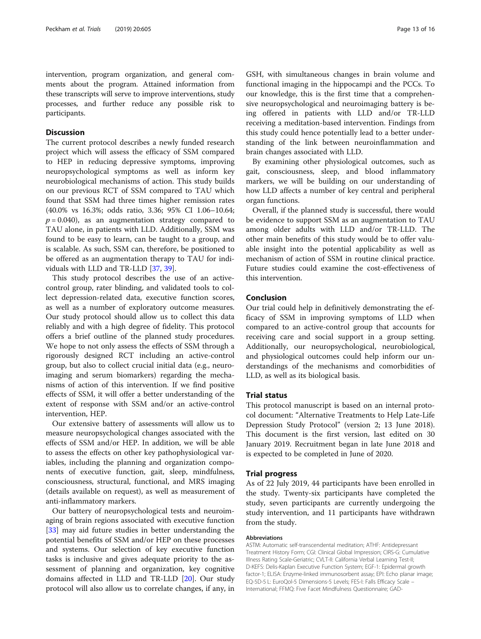intervention, program organization, and general comments about the program. Attained information from these transcripts will serve to improve interventions, study processes, and further reduce any possible risk to participants.

## **Discussion**

The current protocol describes a newly funded research project which will assess the efficacy of SSM compared to HEP in reducing depressive symptoms, improving neuropsychological symptoms as well as inform key neurobiological mechanisms of action. This study builds on our previous RCT of SSM compared to TAU which found that SSM had three times higher remission rates (40.0% vs 16.3%; odds ratio, 3.36; 95% CI 1.06–10.64;  $p = 0.040$ ), as an augmentation strategy compared to TAU alone, in patients with LLD. Additionally, SSM was found to be easy to learn, can be taught to a group, and is scalable. As such, SSM can, therefore, be positioned to be offered as an augmentation therapy to TAU for individuals with LLD and TR-LLD [\[37](#page-14-0), [39](#page-14-0)].

This study protocol describes the use of an activecontrol group, rater blinding, and validated tools to collect depression-related data, executive function scores, as well as a number of exploratory outcome measures. Our study protocol should allow us to collect this data reliably and with a high degree of fidelity. This protocol offers a brief outline of the planned study procedures. We hope to not only assess the effects of SSM through a rigorously designed RCT including an active-control group, but also to collect crucial initial data (e.g., neuroimaging and serum biomarkers) regarding the mechanisms of action of this intervention. If we find positive effects of SSM, it will offer a better understanding of the extent of response with SSM and/or an active-control intervention, HEP.

Our extensive battery of assessments will allow us to measure neuropsychological changes associated with the effects of SSM and/or HEP. In addition, we will be able to assess the effects on other key pathophysiological variables, including the planning and organization components of executive function, gait, sleep, mindfulness, consciousness, structural, functional, and MRS imaging (details available on request), as well as measurement of anti-inflammatory markers.

Our battery of neuropsychological tests and neuroimaging of brain regions associated with executive function [[33\]](#page-14-0) may aid future studies in better understanding the potential benefits of SSM and/or HEP on these processes and systems. Our selection of key executive function tasks is inclusive and gives adequate priority to the assessment of planning and organization, key cognitive domains affected in LLD and TR-LLD [\[20\]](#page-14-0). Our study protocol will also allow us to correlate changes, if any, in

GSH, with simultaneous changes in brain volume and functional imaging in the hippocampi and the PCCs. To our knowledge, this is the first time that a comprehensive neuropsychological and neuroimaging battery is being offered in patients with LLD and/or TR-LLD receiving a meditation-based intervention. Findings from this study could hence potentially lead to a better understanding of the link between neuroinflammation and brain changes associated with LLD.

By examining other physiological outcomes, such as gait, consciousness, sleep, and blood inflammatory markers, we will be building on our understanding of how LLD affects a number of key central and peripheral organ functions.

Overall, if the planned study is successful, there would be evidence to support SSM as an augmentation to TAU among older adults with LLD and/or TR-LLD. The other main benefits of this study would be to offer valuable insight into the potential applicability as well as mechanism of action of SSM in routine clinical practice. Future studies could examine the cost-effectiveness of this intervention.

## Conclusion

Our trial could help in definitively demonstrating the efficacy of SSM in improving symptoms of LLD when compared to an active-control group that accounts for receiving care and social support in a group setting. Additionally, our neuropsychological, neurobiological, and physiological outcomes could help inform our understandings of the mechanisms and comorbidities of LLD, as well as its biological basis.

#### Trial status

This protocol manuscript is based on an internal protocol document: "Alternative Treatments to Help Late-Life Depression Study Protocol" (version 2; 13 June 2018). This document is the first version, last edited on 30 January 2019. Recruitment began in late June 2018 and is expected to be completed in June of 2020.

#### Trial progress

As of 22 July 2019, 44 participants have been enrolled in the study. Twenty-six participants have completed the study, seven participants are currently undergoing the study intervention, and 11 participants have withdrawn from the study.

#### Abbreviations

ASTM: Automatic self-transcendental meditation; ATHF: Antidepressant Treatment History Form; CGI: Clinical Global Impression; CIRS-G: Cumulative Illness Rating Scale-Geriatric; CVLT-II: California Verbal Learning Test-II; D-KEFS: Delis-Kaplan Executive Function System; EGF-1: Epidermal growth factor-1; ELISA: Enzyme-linked immunosorbent assay; EPI: Echo planar image; EQ-5D-5 L: EuroQol-5 Dimensions-5 Levels; FES-I: Falls Efficacy Scale – International; FFMQ: Five Facet Mindfulness Questionnaire; GAD-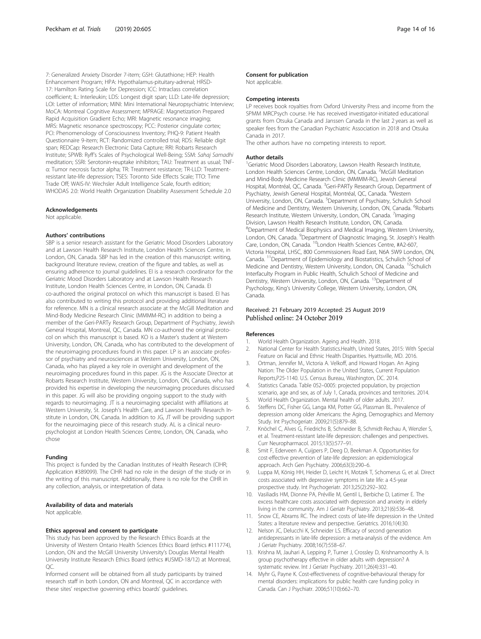<span id="page-13-0"></span>7: Generalized Anxiety Disorder 7-item; GSH: Glutathione; HEP: Health Enhancement Program; HPA: Hypothalamus-pituitary-adrenal; HRSD-17: Hamilton Rating Scale for Depression; ICC: Intraclass correlation coefficient; IL: Interleukin; LDS: Longest digit span; LLD: Late-life depression; LOI: Letter of information; MINI: Mini International Neuropsychiatric Interview; MoCA: Montreal Cognitive Assessment; MPRAGE: Magnetization Prepared Rapid Acquisition Gradient Echo; MRI: Magnetic resonance imaging; MRS: Magnetic resonance spectroscopy; PCC: Posterior cingulate cortex; PCI: Phenomenology of Consciousness Inventory; PHQ-9: Patient Health Questionnaire 9-item; RCT: Randomized controlled trial; RDS: Reliable digit span; REDCap: Research Electronic Data Capture; RRI: Robarts Research Institute; SPWB: Ryff's Scales of Psychological Well-Being; SSM: Sahaj Samadhi meditation; SSRI: Serotonin-reuptake inhibitors; TAU: Treatment as usual; TNFα: Tumor necrosis factor alpha; TR: Treatment resistance; TR-LLD: Treatmentresistant late-life depression; TSES: Toronto Side Effects Scale; TTO: Time Trade Off; WAIS-IV: Wechsler Adult Intelligence Scale, fourth edition; WHODAS 2.0: World Health Organization Disability Assessment Schedule 2.0

#### Acknowledgements

Not applicable.

#### Authors' contributions

SBP is a senior research assistant for the Geriatric Mood Disorders Laboratory and at Lawson Health Research Institute, London Health Sciences Centre, in London, ON, Canada. SBP has led in the creation of this manuscript: writing, background literature review, creation of the figure and tables, as well as ensuring adherence to journal guidelines. EI is a research coordinator for the Geriatric Mood Disorders Laboratory and at Lawson Health Research Institute, London Health Sciences Centre, in London, ON, Canada. EI co-authored the original protocol on which this manuscript is based. EI has also contributed to writing this protocol and providing additional literature for reference. MN is a clinical research associate at the McGill Meditation and Mind-Body Medicine Research Clinic (MMMM-RC) in addition to being a member of the Geri-PARTy Research Group, Department of Psychiatry, Jewish General Hospital, Montreal, QC, Canada. MN co-authored the original protocol on which this manuscript is based. KO is a Master's student at Western University, London, ON, Canada, who has contributed to the development of the neuroimaging procedures found in this paper. LP is an associate professor of psychiatry and neurosciences at Western University, London, ON, Canada, who has played a key role in oversight and development of the neuroimaging procedures found in this paper. JG is the Associate Director at Robarts Research Institute, Western University, London, ON, Canada, who has provided his expertise in developing the neuroimaging procedures discussed in this paper. JG will also be providing ongoing support to the study with regards to neuroimaging. JT is a neuroimaging specialist with affiliations at Western University, St. Joseph's Health Care, and Lawson Health Research Institute in London, ON, Canada. In addition to JG, JT will be providing support for the neuroimaging piece of this research study. AL is a clinical neuropsychologist at London Health Sciences Centre, London, ON, Canada, who chose

#### Funding

This project is funded by the Canadian Institutes of Health Research (CIHR; Application #389099). The CIHR had no role in the design of the study or in the writing of this manuscript. Additionally, there is no role for the CIHR in any collection, analysis, or interpretation of data.

#### Availability of data and materials

Not applicable.

#### Ethics approval and consent to participate

This study has been approved by the Research Ethics Boards at the University of Western Ontario Health Sciences Ethics Board (ethics #111774), London, ON and the McGill University University's Douglas Mental Health University Institute Research Ethics Board (ethics #USMD-18/12) at Montreal, QC.

Informed consent will be obtained from all study participants by trained research staff in both London, ON and Montreal, QC in accordance with these sites' respective governing ethics boards' guidelines.

#### Consent for publication

Not applicable.

#### Competing interests

LP receives book royalties from Oxford University Press and income from the SPMM MRCPsych course. He has received investigator-initiated educational grants from Otsuka Canada and Janssen Canada in the last 2 years as well as speaker fees from the Canadian Psychiatric Association in 2018 and Otsuka Canada in 2017.

The other authors have no competing interests to report.

#### Author details

<sup>1</sup>Geriatric Mood Disorders Laboratory, Lawson Health Research Institute, London Health Sciences Centre, London, ON, Canada. <sup>2</sup>McGill Meditation and Mind-Body Medicine Research Clinic (MMMM-RC), Jewish General Hospital, Montréal, QC, Canada. <sup>3</sup>Geri-PARTy Research Group, Department of Psychiatry, Jewish General Hospital, Montréal, QC, Canada. <sup>4</sup>Western University, London, ON, Canada. <sup>5</sup>Department of Psychiatry, Schulich School of Medicine and Dentistry, Western University, London, ON, Canada. <sup>6</sup>Robarts Research Institute, Western University, London, ON, Canada. <sup>7</sup>Imaging Division, Lawson Health Research Institute, London, ON, Canada. <sup>8</sup>Department of Medical Biophysics and Medical Imaging, Western University London, ON, Canada. <sup>9</sup>Department of Diagnostic Imaging, St. Joseph's Health Care, London, ON, Canada. 10London Health Sciences Centre, #A2-607, Victoria Hospital, LHSC, 800 Commissioners Road East, N6A 5W9 London, ON, Canada. 11Department of Epidemiology and Biostatistics, Schulich School of Medicine and Dentistry, Western University, London, ON, Canada. <sup>12</sup>Schulich Interfaculty Program in Public Health, Schulich School of Medicine and Dentistry, Western University, London, ON, Canada. <sup>13</sup>Department of Psychology, King's University College, Western University, London, ON, Canada.

#### Received: 21 February 2019 Accepted: 25 August 2019 Published online: 24 October 2019

#### References

- 1. World Health Organization. Ageing and Health. 2018.
- 2. National Center for Health Statistics.Health, United States, 2015: With Special Feature on Racial and Ethnic Health Disparities. Hyattsville, MD. 2016.
- 3. Ortman, Jennifer M., Victoria A. Velkoff, and Howard Hogan. An Aging Nation: The Older Population in the United States, Current Population Reports,P25-1140. U.S. Census Bureau, Washington, DC. 2014.
- 4. Statistics Canada. Table 052–0005: projected population, by projection scenario, age and sex, as of July 1, Canada, provinces and territories. 2014.
- 5. World Health Organization. Mental health of older adults. 2017.
- 6. Steffens DC, Fisher GG, Langa KM, Potter GG, Plassman BL. Prevalence of depression among older Americans: the Aging, Demographics and Memory Study. Int Psychogeriatr. 2009;21(5):879–88.
- 7. Knöchel C, Alves G, Friedrichs B, Schneider B, Schmidt-Rechau A, Wenzler S, et al. Treatment-resistant late-life depression: challenges and perspectives. Curr Neuropharmacol. 2015;13(5):577–91.
- 8. Smit F, Ederveen A, Cuijpers P, Deeg D, Beekman A. Opportunities for cost-effective prevention of late-life depression: an epidemiological approach. Arch Gen Psychiatry. 2006;63(3):290–6.
- 9. Luppa M, König HH, Heider D, Leicht H, Motzek T, Schomerus G, et al. Direct costs associated with depressive symptoms in late life: a 4.5-year prospective study. Int Psychogeriatr. 2013;25(2):292–302.
- 10. Vasiliadis HM, Dionne PA, Préville M, Gentil L, Berbiche D, Latimer E. The excess healthcare costs associated with depression and anxiety in elderly living in the community. Am J Geriatr Psychiatry. 2013;21(6):536–48.
- 11. Snow CE, Abrams RC. The indirect costs of late-life depression in the United States: a literature review and perspective. Geriatrics. 2016;1(4):30.
- 12. Nelson JC, Delucchi K, Schneider LS. Efficacy of second generation antidepressants in late-life depression: a meta-analysis of the evidence. Am J Geriatr Psychiatry. 2008;16(7):558–67.
- 13. Krishna M, Jauhari A, Lepping P, Turner J, Crossley D, Krishnamoorthy A. Is group psychotherapy effective in older adults with depression? A systematic review. Int J Geriatr Psychiatry. 2011;26(4):331–40.
- 14. Myhr G, Payne K. Cost-effectiveness of cognitive-behavioural therapy for mental disorders: implications for public health care funding policy in Canada. Can J Psychiatr. 2006;51(10):662–70.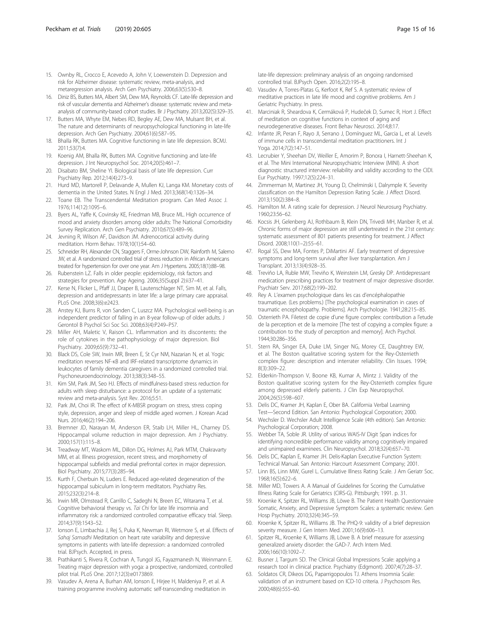- <span id="page-14-0"></span>15. Ownby RL, Crocco E, Acevedo A, John V, Loewenstein D. Depression and risk for Alzheimer disease: systematic review, meta-analysis, and metaregression analysis. Arch Gen Psychiatry. 2006;63(5):530–8.
- 16. Diniz BS, Butters MA, Albert SM, Dew MA, Reynolds CF. Late-life depression and risk of vascular dementia and Alzheimer's disease: systematic review and metaanalysis of community-based cohort studies. Br J Psychiatry. 2013;202(5):329–35.
- 17. Butters MA, Whyte EM, Nebes RD, Begley AE, Dew MA, Mulsant BH, et al. The nature and determinants of neuropsychological functioning in late-life depression. Arch Gen Psychiatry. 2004;61(6):587–95.
- 18. Bhalla RK, Butters MA. Cognitive functioning in late life depression. BCMJ. 2011;53(7):4.
- 19. Koenig AM, Bhalla RK, Butters MA. Cognitive functioning and late-life depression. J Int Neuropsychol Soc. 2014;20(5):461–7.
- 20. Disabato BM, Sheline YI. Biological basis of late life depression. Curr Psychiatry Rep. 2012;14(4):273–9.
- 21. Hurd MD, Martorell P, Delavande A, Mullen KJ, Langa KM. Monetary costs of dementia in the United States. N Engl J Med. 2013;368(14):1326–34.
- 22. Toane EB. The Transcendental Meditation program. Can Med Assoc J. 1976;114(12):1095–6.
- 23. Byers AL, Yaffe K, Covinsky KE, Friedman MB, Bruce ML. High occurrence of mood and anxiety disorders among older adults: The National Comorbidity Survey Replication. Arch Gen Psychiatry. 2010;67(5):489–96.
- 24. Jevning R, Wilson AF, Davidson JM. Adrenocortical activity during meditation. Horm Behav. 1978;10(1):54–60.
- 25. Schneider RH, Alexander CN, Staggers F, Orme-Johnson DW, Rainforth M, Salerno JW, et al. A randomized controlled trial of stress reduction in African Americans treated for hypertension for over one year. Am J Hypertens. 2005;18(1):88–98.
- 26. Rubenstein LZ. Falls in older people: epidemiology, risk factors and strategies for prevention. Age Ageing. 2006;35(Suppl 2):ii37–41.
- 27. Kerse N, Flicker L, Pfaff JJ, Draper B, Lautenschlager NT, Sim M, et al. Falls, depression and antidepressants in later life: a large primary care appraisal. PLoS One. 2008;3(6):e2423.
- 28. Anstey KJ, Burns R, von Sanden C, Luszcz MA. Psychological well-being is an independent predictor of falling in an 8-year follow-up of older adults. J Gerontol B Psychol Sci Soc Sci. 2008;63(4):P249–P57.
- 29. Miller AH, Maletic V, Raison CL. Inflammation and its discontents: the role of cytokines in the pathophysiology of major depression. Biol Psychiatry. 2009;65(9):732–41.
- 30. Black DS, Cole SW, Irwin MR, Breen E, St Cyr NM, Nazarian N, et al. Yogic meditation reverses NF-κB and IRF-related transcriptome dynamics in leukocytes of family dementia caregivers in a randomized controlled trial. Psychoneuroendocrinology. 2013;38(3):348–55.
- 31. Kim SM, Park JM, Seo HJ. Effects of mindfulness-based stress reduction for adults with sleep disturbance: a protocol for an update of a systematic review and meta-analysis. Syst Rev. 2016;5:51.
- 32. Park JM, Choi IR. The effect of K-MBSR program on stress, stress coping style, depression, anger and sleep of middle aged women. J Korean Acad Nurs. 2016;46(2):194–206.
- 33. Bremner JD, Narayan M, Anderson ER, Staib LH, Miller HL, Charney DS. Hippocampal volume reduction in major depression. Am J Psychiatry. 2000;157(1):115–8.
- 34. Treadway MT, Waskom ML, Dillon DG, Holmes AJ, Park MTM, Chakravarty MM, et al. Illness progression, recent stress, and morphometry of hippocampal subfields and medial prefrontal cortex in major depression. Biol Psychiatry. 2015;77(3):285–94.
- 35. Kurth F, Cherbuin N, Luders E. Reduced age-related degeneration of the hippocampal subiculum in long-term meditators. Psychiatry Res. 2015;232(3):214–8.
- 36. Irwin MR, Olmstead R, Carrillo C, Sadeghi N, Breen EC, Witarama T, et al. Cognitive behavioral therapy vs. Tai Chi for late life insomnia and inflammatory risk: a randomized controlled comparative efficacy trial. Sleep. 2014;37(9):1543–52.
- 37. Ionson E, Limbachia J, Rej S, Puka K, Newman RI, Wetmore S, et al. Effects of Sahaj Samadhi Meditation on heart rate variability and depressive symptoms in patients with late-life depression: a randomized controlled trial. BJPsych. Accepted, in press.
- 38. Prathikanti S, Rivera R, Cochran A, Tungol JG, Fayazmanesh N, Weinmann E. Treating major depression with yoga: a prospective, randomized, controlled pilot trial. PLoS One. 2017;12(3):e0173869.
- 39. Vasudev A, Arena A, Burhan AM, Ionson E, Hirjee H, Maldeniya P, et al. A training programme involving automatic self-transcending meditation in

late-life depression: preliminary analysis of an ongoing randomised controlled trial. BJPsych Open. 2016;2(2):195–8.

- 40. Vasudev A, Torres-Platas G, Kerfoot K, Ref S. A systematic review of meditative practices in late life mood and cognitive problems. Am J Geriatric Psychiatry. In press.
- 41. Marciniak R, Sheardova K, Cermáková P, Hudeček D, Sumec R, Hort J. Effect of meditation on cognitive functions in context of aging and neurodegenerative diseases. Front Behav Neurosci. 2014;8:17.
- 42. Infante JR, Peran F, Rayo JI, Serrano J, Domínguez ML, Garcia L, et al. Levels of immune cells in transcendental meditation practitioners. Int J Yoga. 2014;7(2):147–51.
- 43. Lecrubier Y, Sheehan DV, Weiller E, Amorim P, Bonora I, Harnett-Sheehan K, et al. The Mini International Neuropsychiatric Interview (MINI). A short diagnostic structured interview: reliability and validity according to the CIDI. Eur Psychiatry. 1997;12(5):224–31.
- 44. Zimmerman M, Martinez JH, Young D, Chelminski I, Dalrymple K. Severity classification on the Hamilton Depression Rating Scale. J Affect Disord. 2013;150(2):384–8.
- 45. Hamilton M. A rating scale for depression. J Neurol Neurosurg Psychiatry. 1960;23:56–62.
- 46. Kocsis JH, Gelenberg AJ, Rothbaum B, Klein DN, Trivedi MH, Manber R, et al. Chronic forms of major depression are still undertreated in the 21st century: systematic assessment of 801 patients presenting for treatment. J Affect Disord. 2008;110(1–2):55–61.
- 47. Rogal SS, Dew MA, Fontes P, DiMartini AF. Early treatment of depressive symptoms and long-term survival after liver transplantation. Am J Transplant. 2013;13(4):928–35.
- 48. Treviño LA, Ruble MW, Treviño K, Weinstein LM, Gresky DP. Antidepressant medication prescribing practices for treatment of major depressive disorder. Psychiatr Serv. 2017;68(2):199–202.
- 49. Rey A. L'examen psychologique dans les cas d'encéphalopathie traumatique. (Les problems.) [The psychological examination in cases of traumatic encepholopathy. Problems]. Arch Psychologie. 1941;28:215–85.
- 50. Osterrieth PA. Filetest de copie d'une figure complex: contribution a l'etude de la perception et de la memoire [The test of copying a complex figure: a contribution to the study of perception and memory]. Arch Psychol. 1944;30:286–356.
- 51. Stern RA, Singer EA, Duke LM, Singer NG, Morey CE, Daughtrey EW, et al. The Boston qualitative scoring system for the Rey-Osterrieth complex figure: description and interrater reliability. Clin Issues. 1994; 8(3):309–22.
- 52. Elderkin-Thompson V, Boone KB, Kumar A, Mintz J. Validity of the Boston qualitative scoring system for the Rey-Osterrieth complex figure among depressed elderly patients. J Clin Exp Neuropsychol. 2004;26(5):598–607.
- 53. Delis DC, Kramer JH, Kaplan E, Ober BA. California Verbal Learning Test—Second Edition. San Antonio: Psychological Corporation; 2000.
- 54. Wechsler D. Wechsler Adult Intelligence Scale (4th edition). San Antonio: Psychological Corporation; 2008.
- 55. Webber TA, Soble JR. Utility of various WAIS-IV Digit Span indices for identifying noncredible performance validity among cognitively impaired and unimpaired examinees. Clin Neuropsychol. 2018;32(4):657–70.
- 56. Delis DC, Kaplan E, Kramer JH. Delis-Kaplan Executive Function System: Technical Manual. San Antonio: Harcourt Assessment Company; 2001.
- 57. Linn BS, Linn MW, Gurel L. Cumulative Illness Rating Scale. J Am Geriatr Soc. 1968;16(5):622–6.
- 58. Miller MD, Towers A. A Manual of Guidelines for Scoring the Cumulative Illness Rating Scale for Geriatrics (CIRS-G). Pittsburgh; 1991. p. 31.
- 59. Kroenke K, Spitzer RL, Williams JB, Löwe B. The Patient Health Questionnaire Somatic, Anxiety, and Depressive Symptom Scales: a systematic review. Gen Hosp Psychiatry. 2010;32(4):345–59.
- 60. Kroenke K, Spitzer RL, Williams JB. The PHQ-9: validity of a brief depression severity measure. J Gen Intern Med. 2001;16(9):606–13.
- 61. Spitzer RL, Kroenke K, Williams JB, Löwe B. A brief measure for assessing generalized anxiety disorder: the GAD-7. Arch Intern Med. 2006;166(10):1092–7.
- 62. Busner J, Targum SD. The Clinical Global Impressions Scale: applying a research tool in clinical practice. Psychiatry (Edgmont). 2007;4(7):28–37.
- 63. Soldatos CR, Dikeos DG, Paparrigopoulos TJ. Athens Insomnia Scale: validation of an instrument based on ICD-10 criteria. J Psychosom Res. 2000;48(6):555–60.